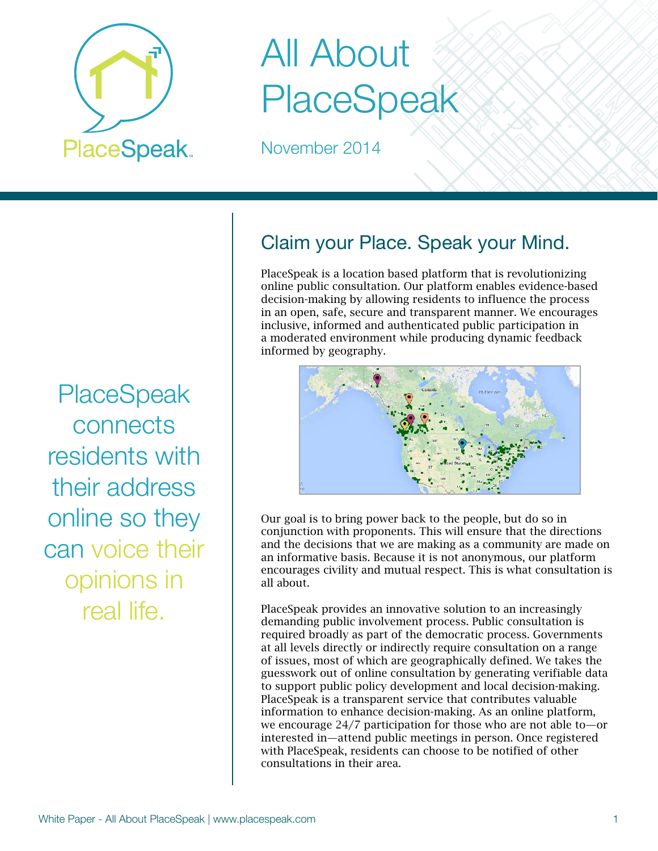

# All About PlaceSpeak

November 2014

**PlaceSpeak** connects residents with their address online so they can voice their opinions in real life.

# Claim your Place. Speak your Mind.

PlaceSpeak is a location based platform that is revolutionizing online public consultation. Our platform enables evidence-based decision-making by allowing residents to influence the process in an open, safe, secure and transparent manner. We encourages inclusive, informed and authenticated public participation in a moderated environment while producing dynamic feedback informed by geography.



Our goal is to bring power back to the people, but do so in conjunction with proponents. This will ensure that the directions and the decisions that we are making as a community are made on an informative basis. Because it is not anonymous, our platform encourages civility and mutual respect. This is what consultation is all about.

PlaceSpeak provides an innovative solution to an increasingly demanding public involvement process. Public consultation is required broadly as part of the democratic process. Governments at all levels directly or indirectly require consultation on a range of issues, most of which are geographically defined. We takes the guesswork out of online consultation by generating verifiable data to support public policy development and local decision-making. PlaceSpeak is a transparent service that contributes valuable information to enhance decision-making. As an online platform, we encourage 24/7 participation for those who are not able to—or interested in—attend public meetings in person. Once registered with PlaceSpeak, residents can choose to be notified of other consultations in their area.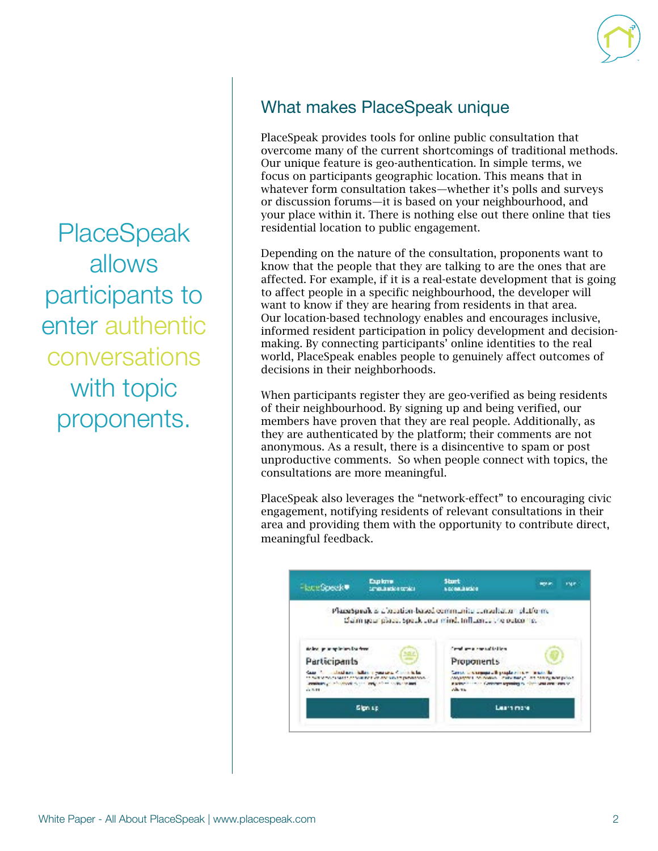**PlaceSpeak** allows participants to enter authentic conversations with topic proponents.

#### What makes PlaceSpeak unique

PlaceSpeak provides tools for online public consultation that overcome many of the current shortcomings of traditional methods. Our unique feature is geo-authentication. In simple terms, we focus on participants geographic location. This means that in whatever form consultation takes—whether it's polls and surveys or discussion forums—it is based on your neighbourhood, and your place within it. There is nothing else out there online that ties residential location to public engagement.

Depending on the nature of the consultation, proponents want to know that the people that they are talking to are the ones that are affected. For example, if it is a real-estate development that is going to affect people in a specific neighbourhood, the developer will want to know if they are hearing from residents in that area. Our location-based technology enables and encourages inclusive, informed resident participation in policy development and decisionmaking. By connecting participants' online identities to the real world, PlaceSpeak enables people to genuinely affect outcomes of decisions in their neighborhoods.

When participants register they are geo-verified as being residents of their neighbourhood. By signing up and being verified, our members have proven that they are real people. Additionally, as they are authenticated by the platform; their comments are not anonymous. As a result, there is a disincentive to spam or post unproductive comments. So when people connect with topics, the consultations are more meaningful.

PlaceSpeak also leverages the "network-effect" to encouraging civic engagement, notifying residents of relevant consultations in their area and providing them with the opportunity to contribute direct, meaningful feedback.

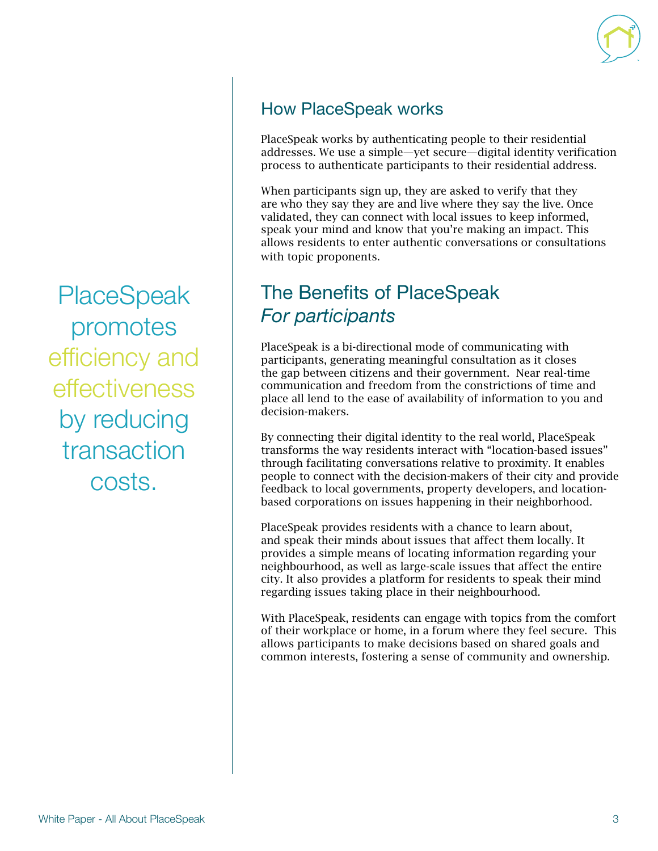

#### How PlaceSpeak works

PlaceSpeak works by authenticating people to their residential addresses. We use a simple—yet secure—digital identity verification process to authenticate participants to their residential address.

When participants sign up, they are asked to verify that they are who they say they are and live where they say the live. Once validated, they can connect with local issues to keep informed, speak your mind and know that you're making an impact. This allows residents to enter authentic conversations or consultations with topic proponents.

## The Benefits of PlaceSpeak *For participants*

PlaceSpeak is a bi-directional mode of communicating with participants, generating meaningful consultation as it closes the gap between citizens and their government. Near real-time communication and freedom from the constrictions of time and place all lend to the ease of availability of information to you and decision-makers.

By connecting their digital identity to the real world, PlaceSpeak transforms the way residents interact with "location-based issues" through facilitating conversations relative to proximity. It enables people to connect with the decision-makers of their city and provide feedback to local governments, property developers, and locationbased corporations on issues happening in their neighborhood.

PlaceSpeak provides residents with a chance to learn about, and speak their minds about issues that affect them locally. It provides a simple means of locating information regarding your neighbourhood, as well as large-scale issues that affect the entire city. It also provides a platform for residents to speak their mind regarding issues taking place in their neighbourhood.

With PlaceSpeak, residents can engage with topics from the comfort of their workplace or home, in a forum where they feel secure. This allows participants to make decisions based on shared goals and common interests, fostering a sense of community and ownership.

**PlaceSpeak** promotes efficiency and effectiveness by reducing transaction costs.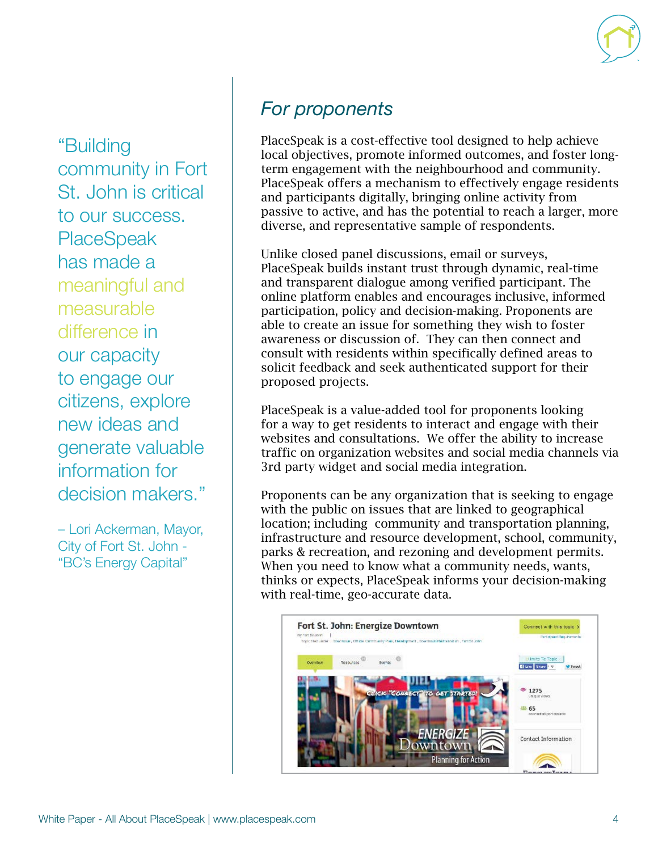"Building community in Fort St. John is critical to our success. **PlaceSpeak** has made a meaningful and measurable difference in our capacity to engage our citizens, explore new ideas and generate valuable information for decision makers."

– Lori Ackerman, Mayor, City of Fort St. John - "BC's Energy Capital"

## *For proponents*

PlaceSpeak is a cost-effective tool designed to help achieve local objectives, promote informed outcomes, and foster longterm engagement with the neighbourhood and community. PlaceSpeak offers a mechanism to effectively engage residents and participants digitally, bringing online activity from passive to active, and has the potential to reach a larger, more diverse, and representative sample of respondents.

Unlike closed panel discussions, email or surveys, PlaceSpeak builds instant trust through dynamic, real-time and transparent dialogue among verified participant. The online platform enables and encourages inclusive, informed participation, policy and decision-making. Proponents are able to create an issue for something they wish to foster awareness or discussion of. They can then connect and consult with residents within specifically defined areas to solicit feedback and seek authenticated support for their proposed projects.

PlaceSpeak is a value-added tool for proponents looking for a way to get residents to interact and engage with their websites and consultations. We offer the ability to increase traffic on organization websites and social media channels via 3rd party widget and social media integration.

Proponents can be any organization that is seeking to engage with the public on issues that are linked to geographical location; including community and transportation planning, infrastructure and resource development, school, community, parks & recreation, and rezoning and development permits. When you need to know what a community needs, wants, thinks or expects, PlaceSpeak informs your decision-making with real-time, geo-accurate data.

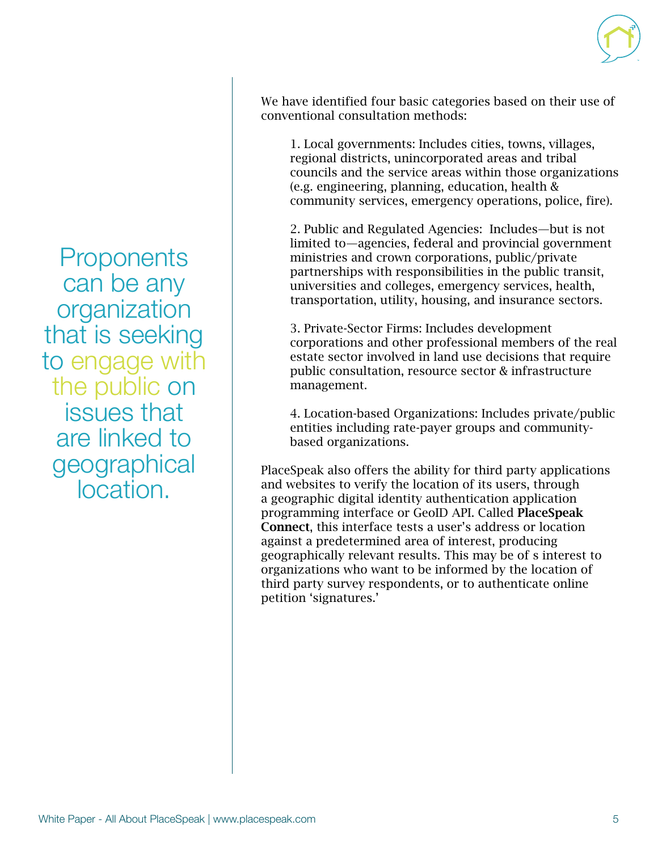We have identified four basic categories based on their use of conventional consultation methods:

1. Local governments: Includes cities, towns, villages, regional districts, unincorporated areas and tribal councils and the service areas within those organizations (e.g. engineering, planning, education, health & community services, emergency operations, police, fire).

2. Public and Regulated Agencies: Includes—but is not limited to—agencies, federal and provincial government ministries and crown corporations, public/private partnerships with responsibilities in the public transit, universities and colleges, emergency services, health, transportation, utility, housing, and insurance sectors.

3. Private-Sector Firms: Includes development corporations and other professional members of the real estate sector involved in land use decisions that require public consultation, resource sector & infrastructure management.

4. Location-based Organizations: Includes private/public entities including rate-payer groups and communitybased organizations.

PlaceSpeak also offers the ability for third party applications and websites to verify the location of its users, through a geographic digital identity authentication application programming interface or GeoID API. Called PlaceSpeak Connect, this interface tests a user's address or location against a predetermined area of interest, producing geographically relevant results. This may be of s interest to organizations who want to be informed by the location of third party survey respondents, or to authenticate online petition 'signatures.'

**Proponents** can be any organization that is seeking to engage with the public on issues that are linked to geographical location.